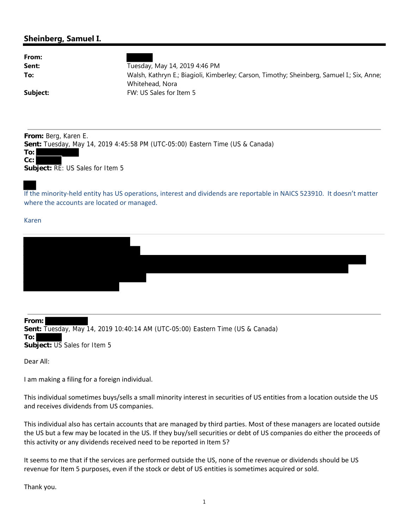## **Sheinberg, Samuel I.**

| From:    |                                                                                                              |
|----------|--------------------------------------------------------------------------------------------------------------|
| Sent:    | Tuesday, May 14, 2019 4:46 PM                                                                                |
| To:      | Walsh, Kathryn E.; Biagioli, Kimberley; Carson, Timothy; Sheinberg, Samuel I.; Six, Anne;<br>Whitehead, Nora |
|          |                                                                                                              |
| Subject: | FW: US Sales for Item 5                                                                                      |
|          |                                                                                                              |

**From:** Berg, Karen E. **Sent:** Tuesday, May 14, 2019 4:45:58 PM (UTC-05:00) Eastern Time (US & Canada) **To:**



If the minority‐held entity has US operations, interest and dividends are reportable in NAICS 523910. It doesn't matter where the accounts are located or managed.

Karen

**From: Sent:** Tuesday, May 14, 2019 10:40:14 AM (UTC-05:00) Eastern Time (US & Canada) **To: Subject:** US Sales for Item 5

Dear All:

I am making a filing for a foreign individual.

This individual sometimes buys/sells a small minority interest in securities of US entities from a location outside the US and receives dividends from US companies.

This individual also has certain accounts that are managed by third parties. Most of these managers are located outside the US but a few may be located in the US. If they buy/sell securities or debt of US companies do either the proceeds of this activity or any dividends received need to be reported in Item 5?

It seems to me that if the services are performed outside the US, none of the revenue or dividends should be US revenue for Item 5 purposes, even if the stock or debt of US entities is sometimes acquired or sold.

Thank you.